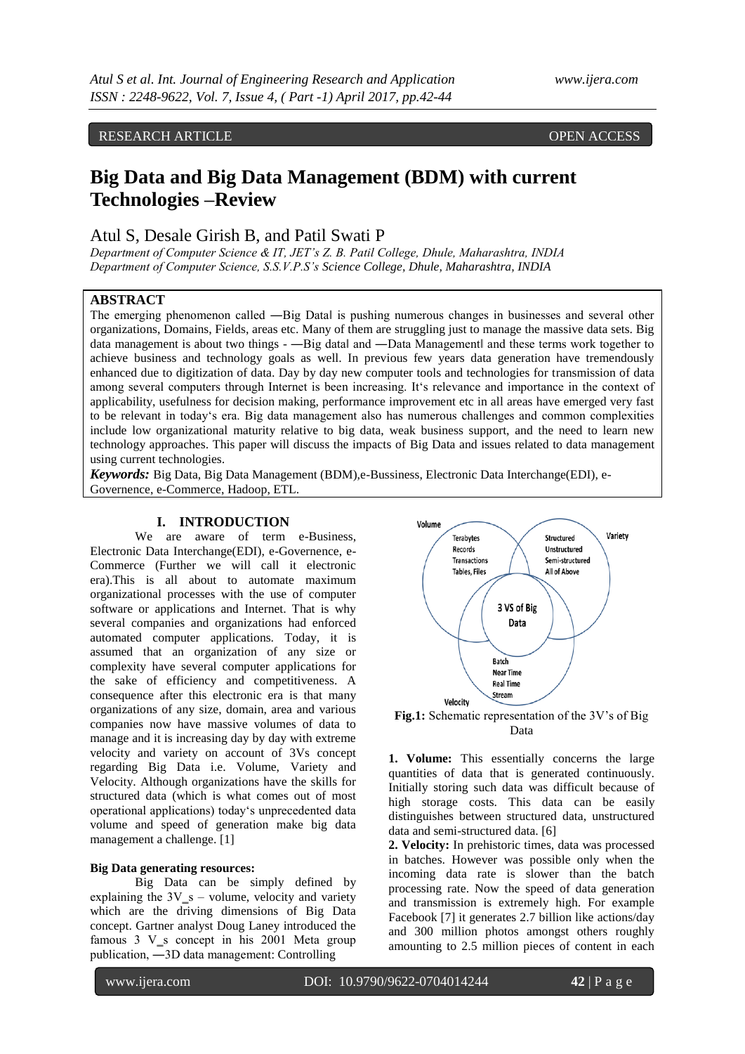# RESEARCH ARTICLE OPEN ACCESS

# **Big Data and Big Data Management (BDM) with current Technologies –Review**

# Atul S, Desale Girish B, and Patil Swati P

*Department of Computer Science & IT, JET's Z. B. Patil College, Dhule, Maharashtra, INDIA Department of Computer Science, S.S.V.P.S's Science College, Dhule, Maharashtra, INDIA*

### **ABSTRACT**

The emerging phenomenon called —Big Datal is pushing numerous changes in businesses and several other organizations, Domains, Fields, areas etc. Many of them are struggling just to manage the massive data sets. Big data management is about two things - —Big datal and —Data Managementl and these terms work together to achieve business and technology goals as well. In previous few years data generation have tremendously enhanced due to digitization of data. Day by day new computer tools and technologies for transmission of data among several computers through Internet is been increasing. It's relevance and importance in the context of applicability, usefulness for decision making, performance improvement etc in all areas have emerged very fast to be relevant in today‗s era. Big data management also has numerous challenges and common complexities include low organizational maturity relative to big data, weak business support, and the need to learn new technology approaches. This paper will discuss the impacts of Big Data and issues related to data management using current technologies.

*Keywords:* Big Data, Big Data Management (BDM),e-Bussiness, Electronic Data Interchange(EDI), e-Governence, e-Commerce, Hadoop, ETL.

## **I. INTRODUCTION**

We are aware of term e-Business, Electronic Data Interchange(EDI), e-Governence, e-Commerce (Further we will call it electronic era).This is all about to automate maximum organizational processes with the use of computer software or applications and Internet. That is why several companies and organizations had enforced automated computer applications. Today, it is assumed that an organization of any size or complexity have several computer applications for the sake of efficiency and competitiveness. A consequence after this electronic era is that many organizations of any size, domain, area and various companies now have massive volumes of data to manage and it is increasing day by day with extreme velocity and variety on account of 3Vs concept regarding Big Data i.e. Volume, Variety and Velocity. Although organizations have the skills for structured data (which is what comes out of most operational applications) today‗s unprecedented data volume and speed of generation make big data management a challenge. [1]

#### **Big Data generating resources:**

Big Data can be simply defined by explaining the  $3V_s$  – volume, velocity and variety which are the driving dimensions of Big Data concept. Gartner analyst Doug Laney introduced the famous  $3 \text{ V}_s$  concept in his 2001 Meta group publication, ―3D data management: Controlling



**Fig.1:** Schematic representation of the 3V's of Big Data

**1. Volume:** This essentially concerns the large quantities of data that is generated continuously. Initially storing such data was difficult because of high storage costs. This data can be easily distinguishes between structured data, unstructured data and semi-structured data. [6]

**2. Velocity:** In prehistoric times, data was processed in batches. However was possible only when the incoming data rate is slower than the batch processing rate. Now the speed of data generation and transmission is extremely high. For example Facebook [7] it generates 2.7 billion like actions/day and 300 million photos amongst others roughly amounting to 2.5 million pieces of content in each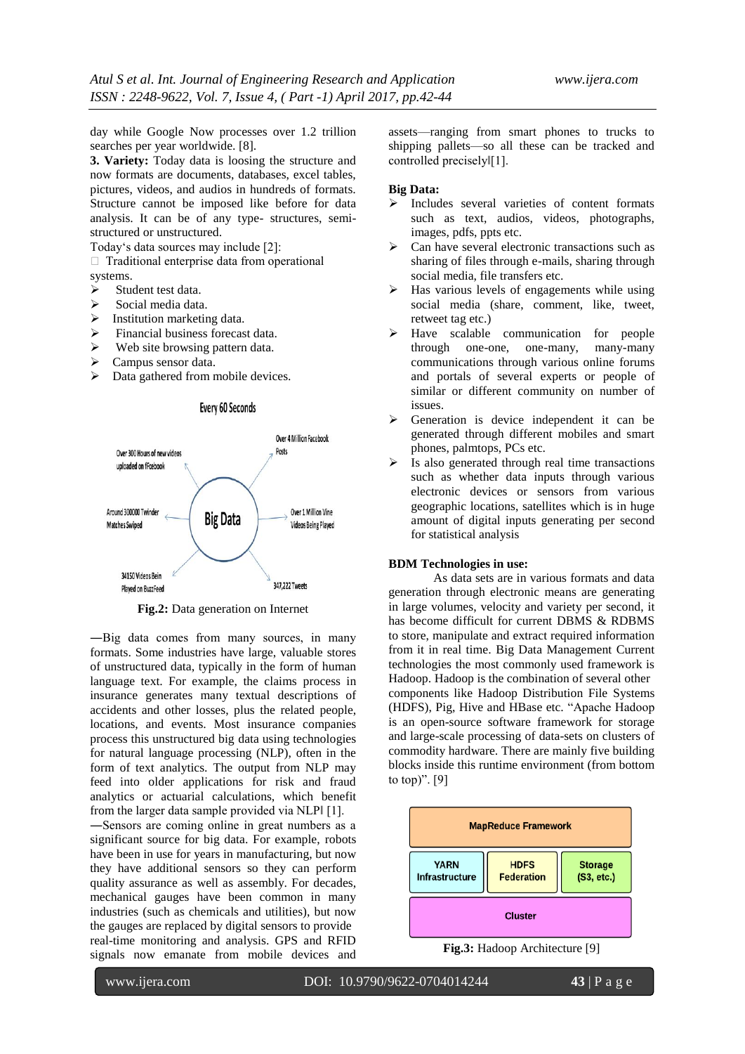day while Google Now processes over 1.2 trillion searches per year worldwide. [8].

**3. Variety:** Today data is loosing the structure and now formats are documents, databases, excel tables, pictures, videos, and audios in hundreds of formats. Structure cannot be imposed like before for data analysis. It can be of any type- structures, semistructured or unstructured.

Today‗s data sources may include [2]:

 $\Box$  Traditional enterprise data from operational systems.

- $\triangleright$  Student test data.
- $\geq$  Social media data.<br> $\geq$  Institution marketing
- Institution marketing data.
- $\triangleright$  Financial business forecast data.
- $\triangleright$  Web site browsing pattern data.
- > Campus sensor data.
- $\triangleright$  Data gathered from mobile devices.



Every 60 Seconds

**Fig.2:** Data generation on Internet

―Big data comes from many sources, in many formats. Some industries have large, valuable stores of unstructured data, typically in the form of human language text. For example, the claims process in insurance generates many textual descriptions of accidents and other losses, plus the related people, locations, and events. Most insurance companies process this unstructured big data using technologies for natural language processing (NLP), often in the form of text analytics. The output from NLP may feed into older applications for risk and fraud analytics or actuarial calculations, which benefit from the larger data sample provided via NLP‖ [1].

―Sensors are coming online in great numbers as a significant source for big data. For example, robots have been in use for years in manufacturing, but now they have additional sensors so they can perform quality assurance as well as assembly. For decades, mechanical gauges have been common in many industries (such as chemicals and utilities), but now the gauges are replaced by digital sensors to provide real-time monitoring and analysis. GPS and RFID signals now emanate from mobile devices and

assets—ranging from smart phones to trucks to shipping pallets—so all these can be tracked and controlled precisely‖[1].

#### **Big Data:**

- $\triangleright$  Includes several varieties of content formats such as text, audios, videos, photographs, images, pdfs, ppts etc.
- $\triangleright$  Can have several electronic transactions such as sharing of files through e-mails, sharing through social media, file transfers etc.
- $\triangleright$  Has various levels of engagements while using social media (share, comment, like, tweet, retweet tag etc.)
- $\triangleright$  Have scalable communication for people through one-one, one-many, many-many communications through various online forums and portals of several experts or people of similar or different community on number of issues.
- $\triangleright$  Generation is device independent it can be generated through different mobiles and smart phones, palmtops, PCs etc.
- $\triangleright$  Is also generated through real time transactions such as whether data inputs through various electronic devices or sensors from various geographic locations, satellites which is in huge amount of digital inputs generating per second for statistical analysis

#### **BDM Technologies in use:**

As data sets are in various formats and data generation through electronic means are generating in large volumes, velocity and variety per second, it has become difficult for current DBMS & RDBMS to store, manipulate and extract required information from it in real time. Big Data Management Current technologies the most commonly used framework is Hadoop. Hadoop is the combination of several other components like Hadoop Distribution File Systems (HDFS), Pig, Hive and HBase etc. "Apache Hadoop is an open-source software framework for storage and large-scale processing of data-sets on clusters of commodity hardware. There are mainly five building blocks inside this runtime environment (from bottom to top)".  $[9]$ 



**Fig.3:** Hadoop Architecture [9]